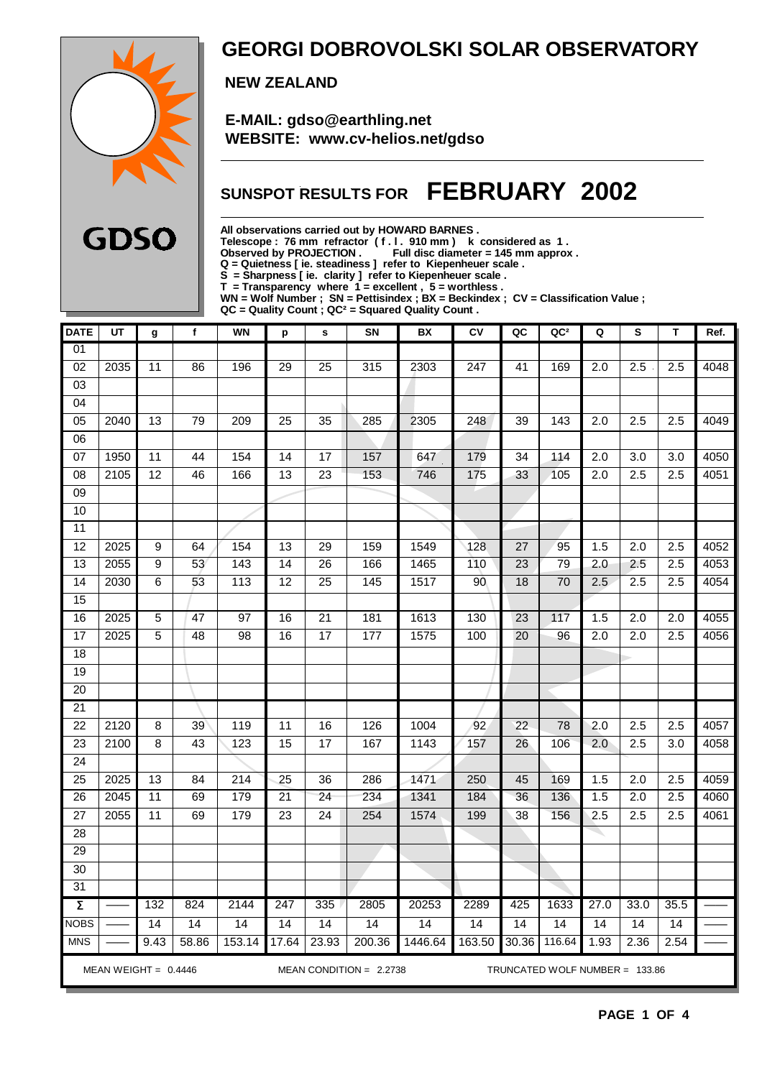

### **GEORGI DOBROVOLSKI SOLAR OBSERVATORY**

 **NEW ZEALAND**

 **E-MAIL: gdso@earthling.net WEBSITE: www.cv-helios.net/gdso**

### **SUNSPOT RESULTS FOR FEBRUARY 2002**

**All observations carried out by HOWARD BARNES .**

**Telescope : 76 mm refractor ( f . l . 910 mm ) k considered as 1 .**

**Observed by PROJECTION . Full disc diameter = 145 mm approx .**

**Q = Quietness [ ie. steadiness ] refer to Kiepenheuer scale .**

**S = Sharpness [ ie. clarity ] refer to Kiepenheuer scale . T = Transparency where 1 = excellent , 5 = worthless .**

**WN = Wolf Number ; SN = Pettisindex ; BX = Beckindex ; CV = Classification Value ;**

**QC = Quality Count ; QC² = Squared Quality Count .**

| <b>DATE</b>                                                                             | UT   | g               | $\mathbf f$     | <b>WN</b>        | р               | $\mathbf s$     | <b>SN</b> | BX      | c <sub>V</sub> | QC              | QC <sup>2</sup> | Q                | S                | T    | Ref. |
|-----------------------------------------------------------------------------------------|------|-----------------|-----------------|------------------|-----------------|-----------------|-----------|---------|----------------|-----------------|-----------------|------------------|------------------|------|------|
| 01                                                                                      |      |                 |                 |                  |                 |                 |           |         |                |                 |                 |                  |                  |      |      |
| 02                                                                                      | 2035 | 11              | 86              | 196              | $\overline{29}$ | $\overline{25}$ | 315       | 2303    | 247            | 41              | 169             | $\overline{2.0}$ | 2.5              | 2.5  | 4048 |
| 03                                                                                      |      |                 |                 |                  |                 |                 |           |         |                |                 |                 |                  |                  |      |      |
| 04                                                                                      |      |                 |                 |                  |                 |                 |           |         |                |                 |                 |                  |                  |      |      |
| 05                                                                                      | 2040 | 13              | 79              | 209              | $\overline{25}$ | $\overline{35}$ | 285       | 2305    | 248            | 39              | 143             | 2.0              | 2.5              | 2.5  | 4049 |
| 06                                                                                      |      |                 |                 |                  |                 |                 |           |         |                |                 |                 |                  |                  |      |      |
| 07                                                                                      | 1950 | 11              | 44              | 154              | 14              | 17              | 157       | 647     | 179            | 34              | 114             | 2.0              | 3.0              | 3.0  | 4050 |
| $\overline{08}$                                                                         | 2105 | $\overline{12}$ | 46              | 166              | 13              | 23              | 153       | 746     | 175            | 33              | 105             | 2.0              | $\overline{2.5}$ | 2.5  | 4051 |
| 09                                                                                      |      |                 |                 |                  |                 |                 |           |         |                |                 |                 |                  |                  |      |      |
| 10                                                                                      |      |                 |                 |                  |                 |                 |           |         |                |                 |                 |                  |                  |      |      |
| 11                                                                                      |      |                 |                 |                  |                 |                 |           |         |                |                 |                 |                  |                  |      |      |
| 12                                                                                      | 2025 | 9               | 64              | 154              | 13              | 29              | 159       | 1549    | 128            | 27              | 95              | 1.5              | 2.0              | 2.5  | 4052 |
| $\overline{13}$                                                                         | 2055 | $\overline{9}$  | $\overline{53}$ | 143              | $\overline{14}$ | $\overline{26}$ | 166       | 1465    | 110            | $\overline{23}$ | 79              | 2.0              | 2.5              | 2.5  | 4053 |
| $\overline{14}$                                                                         | 2030 | $\overline{6}$  | 53              | 113              | $\overline{12}$ | $\overline{25}$ | 145       | 1517    | 90             | $\overline{18}$ | $\overline{70}$ | 2.5              | 2.5              | 2.5  | 4054 |
| 15                                                                                      |      |                 |                 |                  |                 |                 |           |         |                |                 |                 |                  |                  |      |      |
| 16                                                                                      | 2025 | $\overline{5}$  | 47              | 97               | 16              | $\overline{21}$ | 181       | 1613    | 130            | $\overline{23}$ | 117             | 1.5              | 2.0              | 2.0  | 4055 |
| 17                                                                                      | 2025 | $\overline{5}$  | 48              | 98               | 16              | 17              | 177       | 1575    | 100            | $\overline{20}$ | 96              | 2.0              | 2.0              | 2.5  | 4056 |
| $\overline{18}$                                                                         |      |                 |                 |                  |                 |                 |           |         |                |                 |                 |                  |                  |      |      |
| 19                                                                                      |      |                 |                 |                  |                 |                 |           |         |                |                 |                 |                  |                  |      |      |
| $\overline{20}$                                                                         |      |                 |                 |                  |                 |                 |           |         |                |                 |                 |                  |                  |      |      |
| $\overline{21}$                                                                         |      |                 |                 |                  |                 |                 |           |         |                |                 |                 |                  |                  |      |      |
| 22                                                                                      | 2120 | 8               | 39              | 119              | $\overline{11}$ | 16              | 126       | 1004    | 92             | 22              | 78              | 2.0              | 2.5              | 2.5  | 4057 |
| $\overline{23}$                                                                         | 2100 | 8               | 43              | 123              | $\overline{15}$ | $\overline{17}$ | 167       | 1143    | 157            | $\overline{26}$ | 106             | 2.0              | 2.5              | 3.0  | 4058 |
| $\overline{24}$                                                                         |      |                 |                 |                  |                 |                 |           |         |                |                 |                 |                  |                  |      |      |
| $\overline{25}$                                                                         | 2025 | 13              | 84              | $\overline{214}$ | $\overline{25}$ | 36              | 286       | 1471    | 250            | 45              | 169             | 1.5              | $\overline{2.0}$ | 2.5  | 4059 |
| 26                                                                                      | 2045 | $\overline{11}$ | 69              | 179              | $\overline{21}$ | 24              | 234       | 1341    | 184            | $\overline{36}$ | 136             | 1.5              | 2.0              | 2.5  | 4060 |
| $\overline{27}$                                                                         | 2055 | $\overline{11}$ | 69              | 179              | $\overline{23}$ | $\overline{24}$ | 254       | 1574    | 199            | $\overline{38}$ | 156             | $\overline{2.5}$ | 2.5              | 2.5  | 4061 |
| $\overline{28}$                                                                         |      |                 |                 |                  |                 |                 |           |         |                |                 |                 |                  |                  |      |      |
| 29                                                                                      |      |                 |                 |                  |                 |                 |           |         |                |                 |                 |                  |                  |      |      |
| 30                                                                                      |      |                 |                 |                  |                 |                 |           |         |                |                 |                 |                  |                  |      |      |
| $\overline{31}$                                                                         |      |                 |                 |                  |                 |                 |           |         |                |                 |                 |                  |                  |      |      |
| $\pmb{\Sigma}$                                                                          |      | 132             | 824             | 2144             | 247             | 335             | 2805      | 20253   | 2289           | 425             | 1633            | 27.0             | 33.0             | 35.5 |      |
| <b>NOBS</b>                                                                             |      | 14              | 14              | 14               | 14              | 14              | 14        | 14      | 14             | 14              | 14              | 14               | 14               | 14   |      |
| <b>MNS</b>                                                                              |      | 9.43            | 58.86           | 153.14           | 17.64           | 23.93           | 200.36    | 1446.64 | 163.50         | 30.36           | 116.64          | 1.93             | 2.36             | 2.54 |      |
| MEAN WEIGHT = $0.4446$<br>MEAN CONDITION = $2.2738$<br>TRUNCATED WOLF NUMBER = $133.86$ |      |                 |                 |                  |                 |                 |           |         |                |                 |                 |                  |                  |      |      |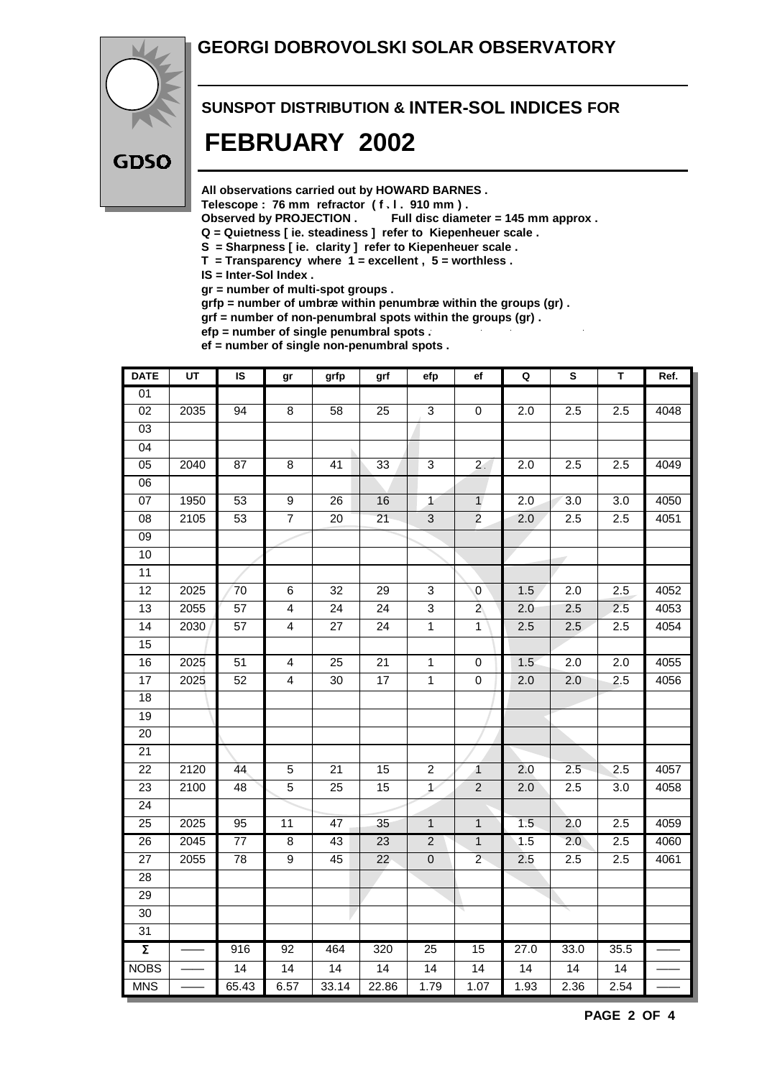#### **GEORGI DOBROVOLSKI SOLAR OBSERVATORY**



## **SUNSPOT DISTRIBUTION & INTER-SOL INDICES FOR FEBRUARY 2002**

**All observations carried out by HOWARD BARNES .**

Telescope : 76 mm refractor (f. l. 910 mm).<br>Observed by PROJECTION . Full disc diam

Full disc diameter = 145 mm approx .

- **Q = Quietness [ ie. steadiness ] refer to Kiepenheuer scale .**
- **S = Sharpness [ ie. clarity ] refer to Kiepenheuer scale .**
- **T = Transparency where 1 = excellent , 5 = worthless .**

**IS = Inter-Sol Index .**

**gr = number of multi-spot groups .**

**grfp = number of umbræ within penumbræ within the groups (gr) .**

**grf = number of non-penumbral spots within the groups (gr) .**

**efp = number of single penumbral spots . ef = number of single non-penumbral spots .**

| <b>DATE</b>         | $\overline{UT}$ | $\overline{\mathsf{s}}$ | gr                      | grfp            | grf             | efp                       | ef                   | $\mathbf Q$      | $\overline{\mathbf{s}}$ | T               | Ref. |
|---------------------|-----------------|-------------------------|-------------------------|-----------------|-----------------|---------------------------|----------------------|------------------|-------------------------|-----------------|------|
| 01                  |                 |                         |                         |                 |                 |                           |                      |                  |                         |                 |      |
| $\overline{02}$     | 2035            | 94                      | $\overline{8}$          | 58              | $\overline{25}$ | $\overline{3}$            | $\pmb{0}$            | $\overline{2.0}$ | 2.5                     | 2.5             | 4048 |
| 03                  |                 |                         |                         |                 |                 |                           |                      |                  |                         |                 |      |
| $\overline{04}$     |                 |                         |                         |                 |                 |                           |                      |                  |                         |                 |      |
| $\overline{05}$     | 2040            | 87                      | $\overline{8}$          | $\overline{41}$ | 33              | $\overline{3}$            | 2 <sup>1</sup>       | 2.0              | 2.5                     | 2.5             | 4049 |
| 06                  |                 |                         |                         |                 |                 |                           |                      |                  |                         |                 |      |
| $\overline{07}$     | 1950            | 53                      | $\overline{9}$          | $\overline{26}$ | 16              | $\mathbf{1}$              | $\mathbf{1}$         | $\overline{2.0}$ | $\overline{3.0}$        | 3.0             | 4050 |
| 08                  | 2105            | 53                      | $\overline{7}$          | 20              | 21              | $\ensuremath{\mathsf{3}}$ | $\overline{2}$       | 2.0              | 2.5                     | 2.5             | 4051 |
| $\overline{09}$     |                 |                         |                         |                 |                 |                           |                      |                  |                         |                 |      |
| 10                  |                 |                         |                         |                 |                 |                           |                      |                  |                         |                 |      |
| 11                  |                 |                         |                         |                 |                 |                           |                      |                  |                         |                 |      |
| $\overline{12}$     | 2025            | 70                      | 6                       | 32              | 29              | $\ensuremath{\mathsf{3}}$ | $\mathbf 0$          | 1.5              | 2.0                     | 2.5             | 4052 |
| $\overline{13}$     | 2055            | $\overline{57}$         | $\overline{4}$          | $\overline{24}$ | $\overline{24}$ | $\overline{3}$            | $\overline{2}$       | 2.0              | 2.5                     | 2.5             | 4053 |
| 14                  | 2030            | 57                      | $\overline{4}$          | 27              | 24              | $\overline{1}$            | $\mathbf{1}$         | 2.5              | 2.5                     | 2.5             | 4054 |
| $\overline{15}$     |                 |                         |                         |                 |                 |                           |                      |                  |                         |                 |      |
| 16                  | 2025            | $\overline{51}$         | $\overline{\mathbf{4}}$ | $\overline{25}$ | $\overline{21}$ | $\overline{1}$            | $\pmb{0}$            | 1.5              | $\overline{2.0}$        | 2.0             | 4055 |
| 17                  | 2025            | 52                      | 4                       | 30              | 17              | $\mathbf{1}$              | 0                    | 2.0              | 2.0                     | 2.5             | 4056 |
| 18                  |                 |                         |                         |                 |                 |                           |                      |                  |                         |                 |      |
| $\overline{19}$     |                 |                         |                         |                 |                 |                           |                      |                  |                         |                 |      |
| 20                  |                 |                         |                         |                 |                 |                           |                      |                  |                         |                 |      |
| $\overline{21}$     |                 |                         |                         |                 |                 |                           |                      |                  |                         |                 |      |
| 22                  | 2120            | 44                      | $\sqrt{5}$              | 21              | 15              | $\boldsymbol{2}$          | $\blacktriangleleft$ | 2.0              | 2.5                     | 2.5             | 4057 |
| 23                  | 2100            | 48                      | 5                       | 25              | 15              | $\overline{1}$            | $\overline{2}$       | 2.0              | 2.5                     | 3.0             | 4058 |
| $\overline{24}$     |                 |                         |                         |                 |                 |                           |                      |                  |                         |                 |      |
| 25                  | 2025            | 95                      | 11                      | 47              | 35              | $\mathbf{1}$              | $\mathbf{1}$         | 1.5              | 2.0                     | 2.5             | 4059 |
| $\overline{26}$     | 2045            | $77\,$                  | $\overline{8}$          | 43              | $\overline{23}$ | $\overline{2}$            | $\mathbf{1}$         | 1.5              | 2.0                     | 2.5             | 4060 |
| $\overline{27}$     | 2055            | $\overline{78}$         | $\overline{9}$          | 45              | $\overline{22}$ | $\overline{0}$            | $\overline{2}$       | 2.5              | 2.5                     | 2.5             | 4061 |
| 28                  |                 |                         |                         |                 |                 |                           |                      |                  |                         |                 |      |
| $\overline{29}$     |                 |                         |                         |                 |                 |                           |                      |                  |                         |                 |      |
| $\overline{30}$     |                 |                         |                         |                 |                 |                           |                      |                  |                         |                 |      |
| 31                  |                 |                         |                         |                 |                 |                           |                      |                  |                         |                 |      |
| $\overline{\Sigma}$ |                 | 916                     | 92                      | 464             | 320             | $\overline{25}$           | 15                   | 27.0             | 33.0                    | 35.5            |      |
| <b>NOBS</b>         |                 | $\overline{14}$         | 14                      | $\overline{14}$ | 14              | $\overline{14}$           | $\overline{14}$      | $\overline{14}$  | $\overline{14}$         | $\overline{14}$ |      |
| <b>MNS</b>          |                 | 65.43                   | 6.57                    | 33.14           | 22.86           | 1.79                      | 1.07                 | 1.93             | 2.36                    | 2.54            |      |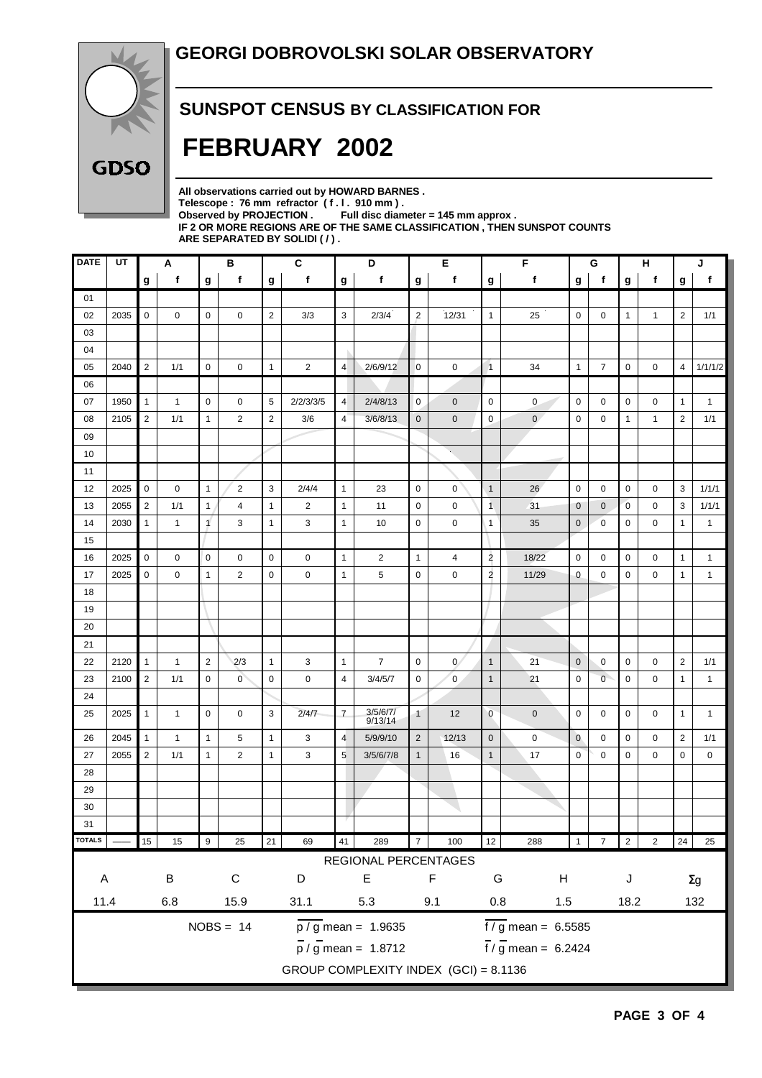

#### **SUNSPOT CENSUS BY CLASSIFICATION FOR**

# **FEBRUARY 2002**

**All observations carried out by HOWARD BARNES . Telescope : 76 mm refractor ( f . l . 910 mm ) . Observed by PROJECTION . Full disc diameter = 145 mm approx . IF 2 OR MORE REGIONS ARE OF THE SAME CLASSIFICATION , THEN SUNSPOT COUNTS ARE SEPARATED BY SOLIDI ( / ) .**

| f<br>f<br>f<br>f<br>f<br>f<br>f<br>f<br>g<br>g<br>$\mathbf{g}$<br>g<br>g<br>g<br>g<br>g<br>g<br>01<br>12/31<br>$\mathbf 0$<br>$\overline{2}$<br>3<br>$\mathbf 0$<br>$\overline{2}$<br>02<br>2035<br>0<br>0<br>0<br>3/3<br>2/3/4<br>2<br>$\overline{1}$<br>25<br>0<br>$\mathbf{1}$<br>$\mathbf{1}$<br>03<br>04<br>$\overline{2}$<br>2040<br>$\mathbf{1}$<br>$\overline{4}$<br>2/6/9/12<br>$\mathbf{1}$<br>4<br>05<br>1/1<br>0<br>0<br>2<br>0<br>0<br>$\overline{1}$<br>34<br>7<br>0<br>0<br>06<br>1950<br>$\mathbf{1}$<br>5<br>2/2/3/3/5<br>$\mathbf 0$<br>07<br>$\mathbf{1}$<br>0<br>0<br>$\overline{4}$<br>2/4/8/13<br>0<br>$\mathbf 0$<br>0<br>0<br>0<br>0<br>0<br>1<br>$\overline{2}$<br>$\overline{2}$<br>$\mathbf 0$<br>$\mathbf{0}$<br>$\overline{2}$<br>08<br>2105<br>1/1<br>2<br>3/6<br>4<br>3/6/8/13<br>$\mathbf{0}$<br>$\mathbf 0$<br>0<br>0<br>1<br>1<br>$\mathbf{1}$<br>09<br>10<br>11<br>2025<br>$\mathbf 0$<br>$\overline{c}$<br>3<br>$\mathbf{1}$<br>$\mathbf 0$<br>$\mathbf 0$<br>$\overline{1}$<br>0<br>0<br>3<br>12<br>0<br>$\mathbf{1}$<br>2/4/4<br>23<br>26<br>0<br>0<br>$\overline{2}$<br>$\mathbf{1}$<br>$\overline{2}$<br>$\overline{1}$<br>3<br>13<br>2055<br>1/1<br>4<br>$\mathbf{1}$<br>11<br>0<br>0<br>31<br>$\mathbf 0$<br>$\mathbf 0$<br>$\overline{0}$<br>0<br>1<br>$\mathbf{1}$<br>14<br>2030<br>$\mathbf{1}$<br>$\mathbf{1}$<br>$\mathbf{1}$<br>3<br>$\mathbf{1}$<br>$\mathbf 0$<br>$\mathbf 0$<br>$\sqrt{1}$<br>$\mathbf 0$<br>$\mathbf 0$<br>0<br>$\mathbf{1}$<br>3<br>10<br>35<br>0<br>15<br>$\overline{2}$<br>2025<br>$\mathbf 0$<br>0<br>$\mathbf 0$<br>0<br>0<br>$\mathbf{1}$<br>18/22<br>0<br>0<br>1<br>16<br>0<br>2<br>$\mathbf{1}$<br>4<br>0<br>0<br>0<br>$\overline{2}$<br>17<br>2025<br>0<br>$\overline{2}$<br>0<br>0<br>$\mathbf{1}$<br>5<br>$\mathbf 0$<br>$\mathbf 0$<br>11/29<br>$\mathbf 0$<br>$\mathbf 0$<br>$\mathbf 0$<br>0<br>$\mathbf{1}$<br>$\mathbf{1}$<br>18<br>19<br>20<br>21<br>$\mathbf{1}$<br>$\overline{7}$<br>22<br>2120<br>$\mathbf{1}$<br>$\mathbf{1}$<br>$\overline{2}$<br>2/3<br>3<br>$\mathbf{1}$<br>$\mathbf 0$<br>$\mathbf{0}$<br>$\overline{1}$<br>21<br>$\mathbf 0$<br>0<br>$\mathbf 0$<br>$\overline{2}$<br>0<br>2<br>$\overline{0}$<br>$\overline{0}$<br>23<br>2100<br>1/1<br>$\mathbf 0$<br>$\overline{0}$<br>0<br>0<br>4<br>3/4/5/7<br>$\mathbf 0$<br>$\overline{1}$<br>21<br>$\mathbf 0$<br>$\mathbf 0$<br>0<br>$\mathbf{1}$<br>24<br>$\overline{7}$<br>3/5/6/7/<br>$\overline{0}$<br>25<br>2025<br>$\mathbf{1}$<br>$\mathbf{1}$<br>$\mathbf 0$<br>$\mathbf 0$<br>3<br>2/4/7<br>12<br>$\mathbf 0$<br>0<br>0<br>$\mathbf 0$<br>0<br>$\mathbf{1}$<br>$\mathbf{1}$<br>9/13/14<br>$\mathbf{1}$<br>2045<br>$\mathbf{1}$<br>3<br>$\overline{4}$<br>$\mathbf 0$<br>$\mathbf 0$<br>$\overline{2}$<br>26<br>$\mathbf{1}$<br>$\mathbf{1}$<br>5<br>5/9/9/10<br>2<br>12/13<br>0<br>0<br>0<br>0<br>27<br>2055<br>$\overline{2}$<br>1/1<br>$\overline{2}$<br>$\mathbf{1}$<br>3<br>5<br>$\overline{1}$<br>17<br>$\mathbf 0$<br>0<br>0<br>0<br>$\mathbf{1}$<br>3/5/6/7/8<br>$\mathbf{1}$<br>16<br>0<br>28<br>29<br>30<br>31<br><b>TOTALS</b><br>$15\,$<br>21<br>41<br>12<br>$\overline{2}$<br>24<br>15<br>$\boldsymbol{9}$<br>25<br>69<br>289<br>$\overline{7}$<br>100<br>$\overline{2}$<br>288<br>$\mathbf{1}$<br>$\overline{7}$ | J            |  |  |  |  |  |  |  |  |  |
|-----------------------------------------------------------------------------------------------------------------------------------------------------------------------------------------------------------------------------------------------------------------------------------------------------------------------------------------------------------------------------------------------------------------------------------------------------------------------------------------------------------------------------------------------------------------------------------------------------------------------------------------------------------------------------------------------------------------------------------------------------------------------------------------------------------------------------------------------------------------------------------------------------------------------------------------------------------------------------------------------------------------------------------------------------------------------------------------------------------------------------------------------------------------------------------------------------------------------------------------------------------------------------------------------------------------------------------------------------------------------------------------------------------------------------------------------------------------------------------------------------------------------------------------------------------------------------------------------------------------------------------------------------------------------------------------------------------------------------------------------------------------------------------------------------------------------------------------------------------------------------------------------------------------------------------------------------------------------------------------------------------------------------------------------------------------------------------------------------------------------------------------------------------------------------------------------------------------------------------------------------------------------------------------------------------------------------------------------------------------------------------------------------------------------------------------------------------------------------------------------------------------------------------------------------------------------------------------------------------------------------------------------------------------------------------------------------------------------------------------------------------------------------------------------------------------------------------------------------------------------------------------------------------------------------------------------------------------------------------------------------------------------------------------------------------------------------------------------------------------------------------------------------------------------------------------------------------------------------------------------------------------------------------------------|--------------|--|--|--|--|--|--|--|--|--|
|                                                                                                                                                                                                                                                                                                                                                                                                                                                                                                                                                                                                                                                                                                                                                                                                                                                                                                                                                                                                                                                                                                                                                                                                                                                                                                                                                                                                                                                                                                                                                                                                                                                                                                                                                                                                                                                                                                                                                                                                                                                                                                                                                                                                                                                                                                                                                                                                                                                                                                                                                                                                                                                                                                                                                                                                                                                                                                                                                                                                                                                                                                                                                                                                                                                                                               | $\mathbf f$  |  |  |  |  |  |  |  |  |  |
|                                                                                                                                                                                                                                                                                                                                                                                                                                                                                                                                                                                                                                                                                                                                                                                                                                                                                                                                                                                                                                                                                                                                                                                                                                                                                                                                                                                                                                                                                                                                                                                                                                                                                                                                                                                                                                                                                                                                                                                                                                                                                                                                                                                                                                                                                                                                                                                                                                                                                                                                                                                                                                                                                                                                                                                                                                                                                                                                                                                                                                                                                                                                                                                                                                                                                               |              |  |  |  |  |  |  |  |  |  |
|                                                                                                                                                                                                                                                                                                                                                                                                                                                                                                                                                                                                                                                                                                                                                                                                                                                                                                                                                                                                                                                                                                                                                                                                                                                                                                                                                                                                                                                                                                                                                                                                                                                                                                                                                                                                                                                                                                                                                                                                                                                                                                                                                                                                                                                                                                                                                                                                                                                                                                                                                                                                                                                                                                                                                                                                                                                                                                                                                                                                                                                                                                                                                                                                                                                                                               | 1/1          |  |  |  |  |  |  |  |  |  |
|                                                                                                                                                                                                                                                                                                                                                                                                                                                                                                                                                                                                                                                                                                                                                                                                                                                                                                                                                                                                                                                                                                                                                                                                                                                                                                                                                                                                                                                                                                                                                                                                                                                                                                                                                                                                                                                                                                                                                                                                                                                                                                                                                                                                                                                                                                                                                                                                                                                                                                                                                                                                                                                                                                                                                                                                                                                                                                                                                                                                                                                                                                                                                                                                                                                                                               |              |  |  |  |  |  |  |  |  |  |
|                                                                                                                                                                                                                                                                                                                                                                                                                                                                                                                                                                                                                                                                                                                                                                                                                                                                                                                                                                                                                                                                                                                                                                                                                                                                                                                                                                                                                                                                                                                                                                                                                                                                                                                                                                                                                                                                                                                                                                                                                                                                                                                                                                                                                                                                                                                                                                                                                                                                                                                                                                                                                                                                                                                                                                                                                                                                                                                                                                                                                                                                                                                                                                                                                                                                                               |              |  |  |  |  |  |  |  |  |  |
|                                                                                                                                                                                                                                                                                                                                                                                                                                                                                                                                                                                                                                                                                                                                                                                                                                                                                                                                                                                                                                                                                                                                                                                                                                                                                                                                                                                                                                                                                                                                                                                                                                                                                                                                                                                                                                                                                                                                                                                                                                                                                                                                                                                                                                                                                                                                                                                                                                                                                                                                                                                                                                                                                                                                                                                                                                                                                                                                                                                                                                                                                                                                                                                                                                                                                               | 1/1/1/2      |  |  |  |  |  |  |  |  |  |
|                                                                                                                                                                                                                                                                                                                                                                                                                                                                                                                                                                                                                                                                                                                                                                                                                                                                                                                                                                                                                                                                                                                                                                                                                                                                                                                                                                                                                                                                                                                                                                                                                                                                                                                                                                                                                                                                                                                                                                                                                                                                                                                                                                                                                                                                                                                                                                                                                                                                                                                                                                                                                                                                                                                                                                                                                                                                                                                                                                                                                                                                                                                                                                                                                                                                                               |              |  |  |  |  |  |  |  |  |  |
|                                                                                                                                                                                                                                                                                                                                                                                                                                                                                                                                                                                                                                                                                                                                                                                                                                                                                                                                                                                                                                                                                                                                                                                                                                                                                                                                                                                                                                                                                                                                                                                                                                                                                                                                                                                                                                                                                                                                                                                                                                                                                                                                                                                                                                                                                                                                                                                                                                                                                                                                                                                                                                                                                                                                                                                                                                                                                                                                                                                                                                                                                                                                                                                                                                                                                               | $\mathbf{1}$ |  |  |  |  |  |  |  |  |  |
|                                                                                                                                                                                                                                                                                                                                                                                                                                                                                                                                                                                                                                                                                                                                                                                                                                                                                                                                                                                                                                                                                                                                                                                                                                                                                                                                                                                                                                                                                                                                                                                                                                                                                                                                                                                                                                                                                                                                                                                                                                                                                                                                                                                                                                                                                                                                                                                                                                                                                                                                                                                                                                                                                                                                                                                                                                                                                                                                                                                                                                                                                                                                                                                                                                                                                               | 1/1          |  |  |  |  |  |  |  |  |  |
|                                                                                                                                                                                                                                                                                                                                                                                                                                                                                                                                                                                                                                                                                                                                                                                                                                                                                                                                                                                                                                                                                                                                                                                                                                                                                                                                                                                                                                                                                                                                                                                                                                                                                                                                                                                                                                                                                                                                                                                                                                                                                                                                                                                                                                                                                                                                                                                                                                                                                                                                                                                                                                                                                                                                                                                                                                                                                                                                                                                                                                                                                                                                                                                                                                                                                               |              |  |  |  |  |  |  |  |  |  |
|                                                                                                                                                                                                                                                                                                                                                                                                                                                                                                                                                                                                                                                                                                                                                                                                                                                                                                                                                                                                                                                                                                                                                                                                                                                                                                                                                                                                                                                                                                                                                                                                                                                                                                                                                                                                                                                                                                                                                                                                                                                                                                                                                                                                                                                                                                                                                                                                                                                                                                                                                                                                                                                                                                                                                                                                                                                                                                                                                                                                                                                                                                                                                                                                                                                                                               |              |  |  |  |  |  |  |  |  |  |
|                                                                                                                                                                                                                                                                                                                                                                                                                                                                                                                                                                                                                                                                                                                                                                                                                                                                                                                                                                                                                                                                                                                                                                                                                                                                                                                                                                                                                                                                                                                                                                                                                                                                                                                                                                                                                                                                                                                                                                                                                                                                                                                                                                                                                                                                                                                                                                                                                                                                                                                                                                                                                                                                                                                                                                                                                                                                                                                                                                                                                                                                                                                                                                                                                                                                                               |              |  |  |  |  |  |  |  |  |  |
|                                                                                                                                                                                                                                                                                                                                                                                                                                                                                                                                                                                                                                                                                                                                                                                                                                                                                                                                                                                                                                                                                                                                                                                                                                                                                                                                                                                                                                                                                                                                                                                                                                                                                                                                                                                                                                                                                                                                                                                                                                                                                                                                                                                                                                                                                                                                                                                                                                                                                                                                                                                                                                                                                                                                                                                                                                                                                                                                                                                                                                                                                                                                                                                                                                                                                               | 1/1/1        |  |  |  |  |  |  |  |  |  |
|                                                                                                                                                                                                                                                                                                                                                                                                                                                                                                                                                                                                                                                                                                                                                                                                                                                                                                                                                                                                                                                                                                                                                                                                                                                                                                                                                                                                                                                                                                                                                                                                                                                                                                                                                                                                                                                                                                                                                                                                                                                                                                                                                                                                                                                                                                                                                                                                                                                                                                                                                                                                                                                                                                                                                                                                                                                                                                                                                                                                                                                                                                                                                                                                                                                                                               | 1/1/1        |  |  |  |  |  |  |  |  |  |
|                                                                                                                                                                                                                                                                                                                                                                                                                                                                                                                                                                                                                                                                                                                                                                                                                                                                                                                                                                                                                                                                                                                                                                                                                                                                                                                                                                                                                                                                                                                                                                                                                                                                                                                                                                                                                                                                                                                                                                                                                                                                                                                                                                                                                                                                                                                                                                                                                                                                                                                                                                                                                                                                                                                                                                                                                                                                                                                                                                                                                                                                                                                                                                                                                                                                                               | $\mathbf{1}$ |  |  |  |  |  |  |  |  |  |
|                                                                                                                                                                                                                                                                                                                                                                                                                                                                                                                                                                                                                                                                                                                                                                                                                                                                                                                                                                                                                                                                                                                                                                                                                                                                                                                                                                                                                                                                                                                                                                                                                                                                                                                                                                                                                                                                                                                                                                                                                                                                                                                                                                                                                                                                                                                                                                                                                                                                                                                                                                                                                                                                                                                                                                                                                                                                                                                                                                                                                                                                                                                                                                                                                                                                                               |              |  |  |  |  |  |  |  |  |  |
|                                                                                                                                                                                                                                                                                                                                                                                                                                                                                                                                                                                                                                                                                                                                                                                                                                                                                                                                                                                                                                                                                                                                                                                                                                                                                                                                                                                                                                                                                                                                                                                                                                                                                                                                                                                                                                                                                                                                                                                                                                                                                                                                                                                                                                                                                                                                                                                                                                                                                                                                                                                                                                                                                                                                                                                                                                                                                                                                                                                                                                                                                                                                                                                                                                                                                               | $\mathbf{1}$ |  |  |  |  |  |  |  |  |  |
|                                                                                                                                                                                                                                                                                                                                                                                                                                                                                                                                                                                                                                                                                                                                                                                                                                                                                                                                                                                                                                                                                                                                                                                                                                                                                                                                                                                                                                                                                                                                                                                                                                                                                                                                                                                                                                                                                                                                                                                                                                                                                                                                                                                                                                                                                                                                                                                                                                                                                                                                                                                                                                                                                                                                                                                                                                                                                                                                                                                                                                                                                                                                                                                                                                                                                               | $\mathbf{1}$ |  |  |  |  |  |  |  |  |  |
|                                                                                                                                                                                                                                                                                                                                                                                                                                                                                                                                                                                                                                                                                                                                                                                                                                                                                                                                                                                                                                                                                                                                                                                                                                                                                                                                                                                                                                                                                                                                                                                                                                                                                                                                                                                                                                                                                                                                                                                                                                                                                                                                                                                                                                                                                                                                                                                                                                                                                                                                                                                                                                                                                                                                                                                                                                                                                                                                                                                                                                                                                                                                                                                                                                                                                               |              |  |  |  |  |  |  |  |  |  |
|                                                                                                                                                                                                                                                                                                                                                                                                                                                                                                                                                                                                                                                                                                                                                                                                                                                                                                                                                                                                                                                                                                                                                                                                                                                                                                                                                                                                                                                                                                                                                                                                                                                                                                                                                                                                                                                                                                                                                                                                                                                                                                                                                                                                                                                                                                                                                                                                                                                                                                                                                                                                                                                                                                                                                                                                                                                                                                                                                                                                                                                                                                                                                                                                                                                                                               |              |  |  |  |  |  |  |  |  |  |
|                                                                                                                                                                                                                                                                                                                                                                                                                                                                                                                                                                                                                                                                                                                                                                                                                                                                                                                                                                                                                                                                                                                                                                                                                                                                                                                                                                                                                                                                                                                                                                                                                                                                                                                                                                                                                                                                                                                                                                                                                                                                                                                                                                                                                                                                                                                                                                                                                                                                                                                                                                                                                                                                                                                                                                                                                                                                                                                                                                                                                                                                                                                                                                                                                                                                                               |              |  |  |  |  |  |  |  |  |  |
|                                                                                                                                                                                                                                                                                                                                                                                                                                                                                                                                                                                                                                                                                                                                                                                                                                                                                                                                                                                                                                                                                                                                                                                                                                                                                                                                                                                                                                                                                                                                                                                                                                                                                                                                                                                                                                                                                                                                                                                                                                                                                                                                                                                                                                                                                                                                                                                                                                                                                                                                                                                                                                                                                                                                                                                                                                                                                                                                                                                                                                                                                                                                                                                                                                                                                               |              |  |  |  |  |  |  |  |  |  |
|                                                                                                                                                                                                                                                                                                                                                                                                                                                                                                                                                                                                                                                                                                                                                                                                                                                                                                                                                                                                                                                                                                                                                                                                                                                                                                                                                                                                                                                                                                                                                                                                                                                                                                                                                                                                                                                                                                                                                                                                                                                                                                                                                                                                                                                                                                                                                                                                                                                                                                                                                                                                                                                                                                                                                                                                                                                                                                                                                                                                                                                                                                                                                                                                                                                                                               | 1/1          |  |  |  |  |  |  |  |  |  |
|                                                                                                                                                                                                                                                                                                                                                                                                                                                                                                                                                                                                                                                                                                                                                                                                                                                                                                                                                                                                                                                                                                                                                                                                                                                                                                                                                                                                                                                                                                                                                                                                                                                                                                                                                                                                                                                                                                                                                                                                                                                                                                                                                                                                                                                                                                                                                                                                                                                                                                                                                                                                                                                                                                                                                                                                                                                                                                                                                                                                                                                                                                                                                                                                                                                                                               | $\mathbf{1}$ |  |  |  |  |  |  |  |  |  |
|                                                                                                                                                                                                                                                                                                                                                                                                                                                                                                                                                                                                                                                                                                                                                                                                                                                                                                                                                                                                                                                                                                                                                                                                                                                                                                                                                                                                                                                                                                                                                                                                                                                                                                                                                                                                                                                                                                                                                                                                                                                                                                                                                                                                                                                                                                                                                                                                                                                                                                                                                                                                                                                                                                                                                                                                                                                                                                                                                                                                                                                                                                                                                                                                                                                                                               |              |  |  |  |  |  |  |  |  |  |
|                                                                                                                                                                                                                                                                                                                                                                                                                                                                                                                                                                                                                                                                                                                                                                                                                                                                                                                                                                                                                                                                                                                                                                                                                                                                                                                                                                                                                                                                                                                                                                                                                                                                                                                                                                                                                                                                                                                                                                                                                                                                                                                                                                                                                                                                                                                                                                                                                                                                                                                                                                                                                                                                                                                                                                                                                                                                                                                                                                                                                                                                                                                                                                                                                                                                                               | $\mathbf{1}$ |  |  |  |  |  |  |  |  |  |
|                                                                                                                                                                                                                                                                                                                                                                                                                                                                                                                                                                                                                                                                                                                                                                                                                                                                                                                                                                                                                                                                                                                                                                                                                                                                                                                                                                                                                                                                                                                                                                                                                                                                                                                                                                                                                                                                                                                                                                                                                                                                                                                                                                                                                                                                                                                                                                                                                                                                                                                                                                                                                                                                                                                                                                                                                                                                                                                                                                                                                                                                                                                                                                                                                                                                                               | 1/1          |  |  |  |  |  |  |  |  |  |
|                                                                                                                                                                                                                                                                                                                                                                                                                                                                                                                                                                                                                                                                                                                                                                                                                                                                                                                                                                                                                                                                                                                                                                                                                                                                                                                                                                                                                                                                                                                                                                                                                                                                                                                                                                                                                                                                                                                                                                                                                                                                                                                                                                                                                                                                                                                                                                                                                                                                                                                                                                                                                                                                                                                                                                                                                                                                                                                                                                                                                                                                                                                                                                                                                                                                                               | $\mathbf 0$  |  |  |  |  |  |  |  |  |  |
|                                                                                                                                                                                                                                                                                                                                                                                                                                                                                                                                                                                                                                                                                                                                                                                                                                                                                                                                                                                                                                                                                                                                                                                                                                                                                                                                                                                                                                                                                                                                                                                                                                                                                                                                                                                                                                                                                                                                                                                                                                                                                                                                                                                                                                                                                                                                                                                                                                                                                                                                                                                                                                                                                                                                                                                                                                                                                                                                                                                                                                                                                                                                                                                                                                                                                               |              |  |  |  |  |  |  |  |  |  |
|                                                                                                                                                                                                                                                                                                                                                                                                                                                                                                                                                                                                                                                                                                                                                                                                                                                                                                                                                                                                                                                                                                                                                                                                                                                                                                                                                                                                                                                                                                                                                                                                                                                                                                                                                                                                                                                                                                                                                                                                                                                                                                                                                                                                                                                                                                                                                                                                                                                                                                                                                                                                                                                                                                                                                                                                                                                                                                                                                                                                                                                                                                                                                                                                                                                                                               |              |  |  |  |  |  |  |  |  |  |
|                                                                                                                                                                                                                                                                                                                                                                                                                                                                                                                                                                                                                                                                                                                                                                                                                                                                                                                                                                                                                                                                                                                                                                                                                                                                                                                                                                                                                                                                                                                                                                                                                                                                                                                                                                                                                                                                                                                                                                                                                                                                                                                                                                                                                                                                                                                                                                                                                                                                                                                                                                                                                                                                                                                                                                                                                                                                                                                                                                                                                                                                                                                                                                                                                                                                                               |              |  |  |  |  |  |  |  |  |  |
|                                                                                                                                                                                                                                                                                                                                                                                                                                                                                                                                                                                                                                                                                                                                                                                                                                                                                                                                                                                                                                                                                                                                                                                                                                                                                                                                                                                                                                                                                                                                                                                                                                                                                                                                                                                                                                                                                                                                                                                                                                                                                                                                                                                                                                                                                                                                                                                                                                                                                                                                                                                                                                                                                                                                                                                                                                                                                                                                                                                                                                                                                                                                                                                                                                                                                               |              |  |  |  |  |  |  |  |  |  |
|                                                                                                                                                                                                                                                                                                                                                                                                                                                                                                                                                                                                                                                                                                                                                                                                                                                                                                                                                                                                                                                                                                                                                                                                                                                                                                                                                                                                                                                                                                                                                                                                                                                                                                                                                                                                                                                                                                                                                                                                                                                                                                                                                                                                                                                                                                                                                                                                                                                                                                                                                                                                                                                                                                                                                                                                                                                                                                                                                                                                                                                                                                                                                                                                                                                                                               | 25           |  |  |  |  |  |  |  |  |  |
| REGIONAL PERCENTAGES                                                                                                                                                                                                                                                                                                                                                                                                                                                                                                                                                                                                                                                                                                                                                                                                                                                                                                                                                                                                                                                                                                                                                                                                                                                                                                                                                                                                                                                                                                                                                                                                                                                                                                                                                                                                                                                                                                                                                                                                                                                                                                                                                                                                                                                                                                                                                                                                                                                                                                                                                                                                                                                                                                                                                                                                                                                                                                                                                                                                                                                                                                                                                                                                                                                                          |              |  |  |  |  |  |  |  |  |  |
| $\sf B$<br>$\mathsf C$<br>$\mathsf E$<br>F<br>D<br>G<br>$\boldsymbol{\mathsf{H}}$<br>J<br>$\boldsymbol{\mathsf{A}}$                                                                                                                                                                                                                                                                                                                                                                                                                                                                                                                                                                                                                                                                                                                                                                                                                                                                                                                                                                                                                                                                                                                                                                                                                                                                                                                                                                                                                                                                                                                                                                                                                                                                                                                                                                                                                                                                                                                                                                                                                                                                                                                                                                                                                                                                                                                                                                                                                                                                                                                                                                                                                                                                                                                                                                                                                                                                                                                                                                                                                                                                                                                                                                           | $\Sigma$ g   |  |  |  |  |  |  |  |  |  |
| 11.4<br>$6.8\,$<br>15.9<br>31.1<br>5.3<br>9.1<br>$0.8\,$<br>$1.5\,$<br>18.2                                                                                                                                                                                                                                                                                                                                                                                                                                                                                                                                                                                                                                                                                                                                                                                                                                                                                                                                                                                                                                                                                                                                                                                                                                                                                                                                                                                                                                                                                                                                                                                                                                                                                                                                                                                                                                                                                                                                                                                                                                                                                                                                                                                                                                                                                                                                                                                                                                                                                                                                                                                                                                                                                                                                                                                                                                                                                                                                                                                                                                                                                                                                                                                                                   | 132          |  |  |  |  |  |  |  |  |  |
| $\sqrt{1/9}$ mean = 6.5585<br>$NOBS = 14$<br>$\overline{p / g}$ mean = 1.9635                                                                                                                                                                                                                                                                                                                                                                                                                                                                                                                                                                                                                                                                                                                                                                                                                                                                                                                                                                                                                                                                                                                                                                                                                                                                                                                                                                                                                                                                                                                                                                                                                                                                                                                                                                                                                                                                                                                                                                                                                                                                                                                                                                                                                                                                                                                                                                                                                                                                                                                                                                                                                                                                                                                                                                                                                                                                                                                                                                                                                                                                                                                                                                                                                 |              |  |  |  |  |  |  |  |  |  |
| $\frac{1}{\pi}$ / g mean = 6.2424<br>$\frac{1}{p}$ / g mean = 1.8712                                                                                                                                                                                                                                                                                                                                                                                                                                                                                                                                                                                                                                                                                                                                                                                                                                                                                                                                                                                                                                                                                                                                                                                                                                                                                                                                                                                                                                                                                                                                                                                                                                                                                                                                                                                                                                                                                                                                                                                                                                                                                                                                                                                                                                                                                                                                                                                                                                                                                                                                                                                                                                                                                                                                                                                                                                                                                                                                                                                                                                                                                                                                                                                                                          |              |  |  |  |  |  |  |  |  |  |
| GROUP COMPLEXITY INDEX (GCI) = 8.1136                                                                                                                                                                                                                                                                                                                                                                                                                                                                                                                                                                                                                                                                                                                                                                                                                                                                                                                                                                                                                                                                                                                                                                                                                                                                                                                                                                                                                                                                                                                                                                                                                                                                                                                                                                                                                                                                                                                                                                                                                                                                                                                                                                                                                                                                                                                                                                                                                                                                                                                                                                                                                                                                                                                                                                                                                                                                                                                                                                                                                                                                                                                                                                                                                                                         |              |  |  |  |  |  |  |  |  |  |